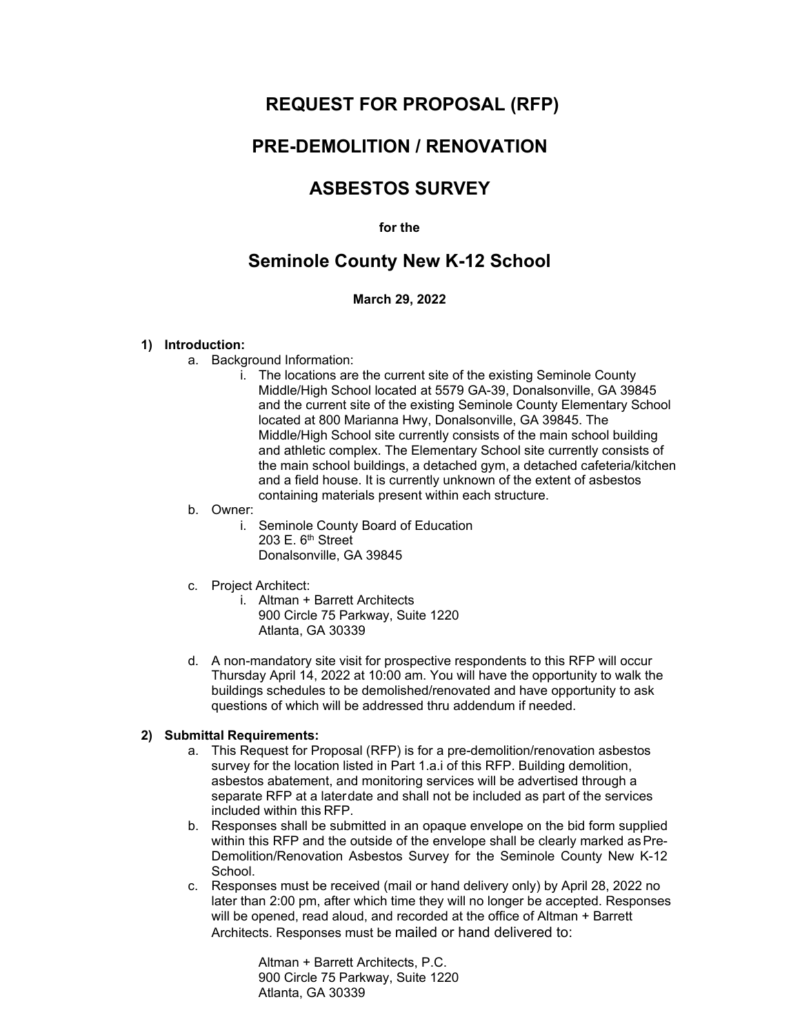# **REQUEST FOR PROPOSAL (RFP)**

# **PRE-DEMOLITION / RENOVATION**

# **ASBESTOS SURVEY**

#### **for the**

## **Seminole County New K-12 School**

### **March 29, 2022**

#### **1) Introduction:**

- a. Background Information:
	- i. The locations are the current site of the existing Seminole County Middle/High School located at 5579 GA-39, Donalsonville, GA 39845 and the current site of the existing Seminole County Elementary School located at 800 Marianna Hwy, Donalsonville, GA 39845. The Middle/High School site currently consists of the main school building and athletic complex. The Elementary School site currently consists of the main school buildings, a detached gym, a detached cafeteria/kitchen and a field house. It is currently unknown of the extent of asbestos containing materials present within each structure.

#### b. Owner:

- i. Seminole County Board of Education 203 E. 6<sup>th</sup> Street Donalsonville, GA 39845
- c. Project Architect:
	- i. Altman + Barrett Architects 900 Circle 75 Parkway, Suite 1220 Atlanta, GA 30339
- d. A non-mandatory site visit for prospective respondents to this RFP will occur Thursday April 14, 2022 at 10:00 am. You will have the opportunity to walk the buildings schedules to be demolished/renovated and have opportunity to ask questions of which will be addressed thru addendum if needed.

### **2) Submittal Requirements:**

- a. This Request for Proposal (RFP) is for a pre-demolition/renovation asbestos survey for the location listed in Part 1.a.i of this RFP. Building demolition, asbestos abatement, and monitoring services will be advertised through a separate RFP at a laterdate and shall not be included as part of the services included within this RFP.
- b. Responses shall be submitted in an opaque envelope on the bid form supplied within this RFP and the outside of the envelope shall be clearly marked as Pre-Demolition/Renovation Asbestos Survey for the Seminole County New K-12 School.
- c. Responses must be received (mail or hand delivery only) by April 28, 2022 no later than 2:00 pm, after which time they will no longer be accepted. Responses will be opened, read aloud, and recorded at the office of Altman + Barrett Architects. Responses must be mailed or hand delivered to:

Altman + Barrett Architects, P.C. 900 Circle 75 Parkway, Suite 1220 Atlanta, GA 30339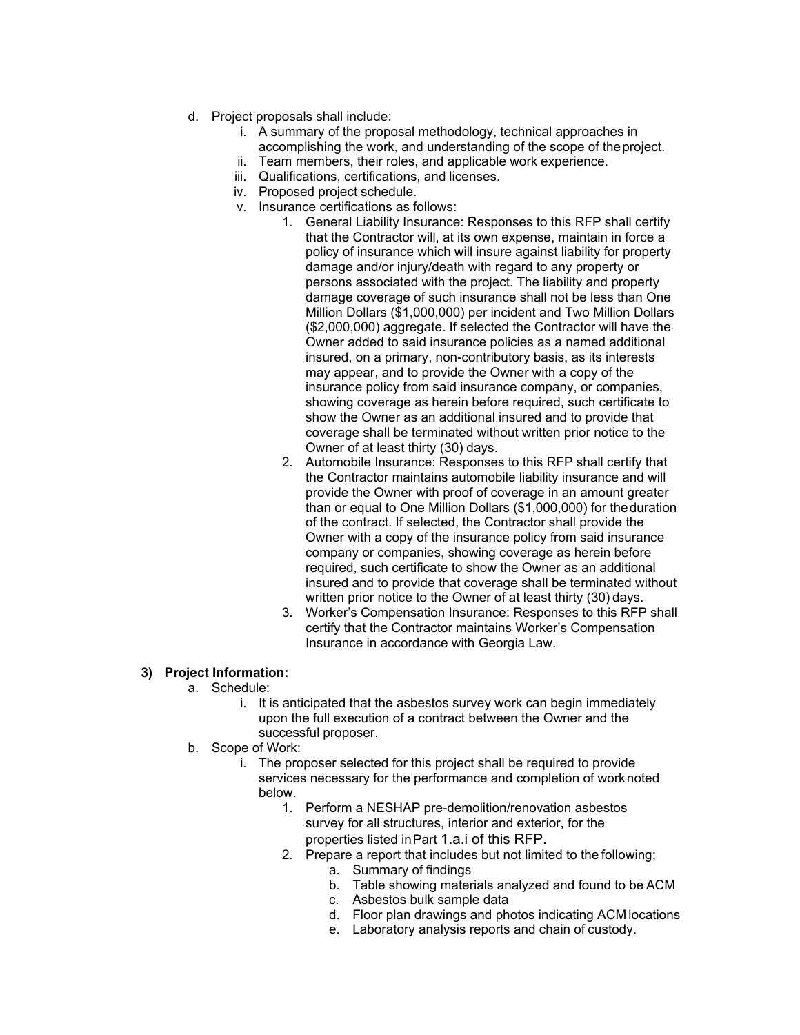- d. Project proposals shall include:
	- i. A summary of the proposal methodology, technical approaches in accomplishing the work, and understanding of the scope of theproject.
	- ii. Team members, their roles, and applicable work experience.
	- iii. Qualifications, certifications, and licenses.
	- iv. Proposed project schedule.
	- v. Insurance certifications as follows:
		- 1. General Liability Insurance: Responses to this RFP shall certify that the Contractor will, at its own expense, maintain in force a policy of insurance which will insure against liability for property damage and/or injury/death with regard to any property or persons associated with the project. The liability and property damage coverage of such insurance shall not be less than One Million Dollars (\$1,000,000) per incident and Two Million Dollars (\$2,000,000) aggregate. If selected the Contractor will have the Owner added to said insurance policies as a named additional insured, on a primary, non-contributory basis, as its interests may appear, and to provide the Owner with a copy of the insurance policy from said insurance company, or companies, showing coverage as herein before required, such certificate to show the Owner as an additional insured and to provide that coverage shall be terminated without written prior notice to the Owner of at least thirty (30) days.
		- 2. Automobile Insurance: Responses to this RFP shall certify that the Contractor maintains automobile liability insurance and will provide the Owner with proof of coverage in an amount greater than or equal to One Million Dollars (\$1,000,000) for theduration of the contract. If selected, the Contractor shall provide the Owner with a copy of the insurance policy from said insurance company or companies, showing coverage as herein before required, such certificate to show the Owner as an additional insured and to provide that coverage shall be terminated without written prior notice to the Owner of at least thirty (30) days.
		- 3. Worker's Compensation Insurance: Responses to this RFP shall certify that the Contractor maintains Worker's Compensation Insurance in accordance with Georgia Law.

### **3) Project Information:**

- a. Schedule:
	- i. It is anticipated that the asbestos survey work can begin immediately upon the full execution of a contract between the Owner and the successful proposer.
- b. Scope of Work:
	- i. The proposer selected for this project shall be required to provide services necessary for the performance and completion of worknoted below.
		- 1. Perform a NESHAP pre-demolition/renovation asbestos survey for all structures, interior and exterior, for the properties listed inPart 1.a.i of this RFP.
		- 2. Prepare a report that includes but not limited to the following;
			- a. Summary of findings
			- b. Table showing materials analyzed and found to be ACM
			- c. Asbestos bulk sample data
			- d. Floor plan drawings and photos indicating ACM locations
			- e. Laboratory analysis reports and chain of custody.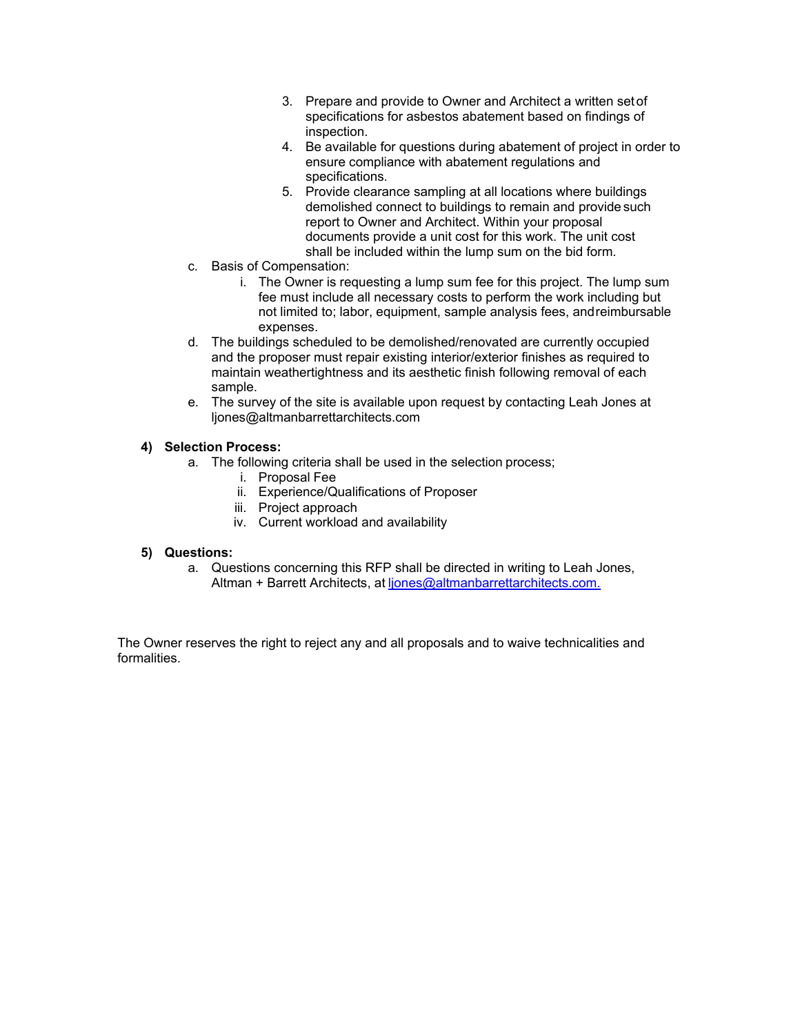- 3. Prepare and provide to Owner and Architect a written setof specifications for asbestos abatement based on findings of inspection.
- 4. Be available for questions during abatement of project in order to ensure compliance with abatement regulations and specifications.
- 5. Provide clearance sampling at all locations where buildings demolished connect to buildings to remain and provide such report to Owner and Architect. Within your proposal documents provide a unit cost for this work. The unit cost shall be included within the lump sum on the bid form.
- c. Basis of Compensation:
	- i. The Owner is requesting a lump sum fee for this project. The lump sum fee must include all necessary costs to perform the work including but not limited to; labor, equipment, sample analysis fees, andreimbursable expenses.
- d. The buildings scheduled to be demolished/renovated are currently occupied and the proposer must repair existing interior/exterior finishes as required to maintain weathertightness and its aesthetic finish following removal of each sample.
- e. The survey of the site is available upon request by contacting Leah Jones at ljones@altmanbarrettarchitects.com

### **4) Selection Process:**

- a. The following criteria shall be used in the selection process;
	- i. Proposal Fee
	- ii. Experience/Qualifications of Proposer
	- iii. Project approach
	- iv. Current workload and availability

### **5) Questions:**

a. Questions concerning this RFP shall be directed in writing to Leah Jones, Altman + Barrett Architects, at [ljones@altmanbarrettarchitects.com.](mailto:ljones@altmanbarrettarchitects.com.)

The Owner reserves the right to reject any and all proposals and to waive technicalities and formalities.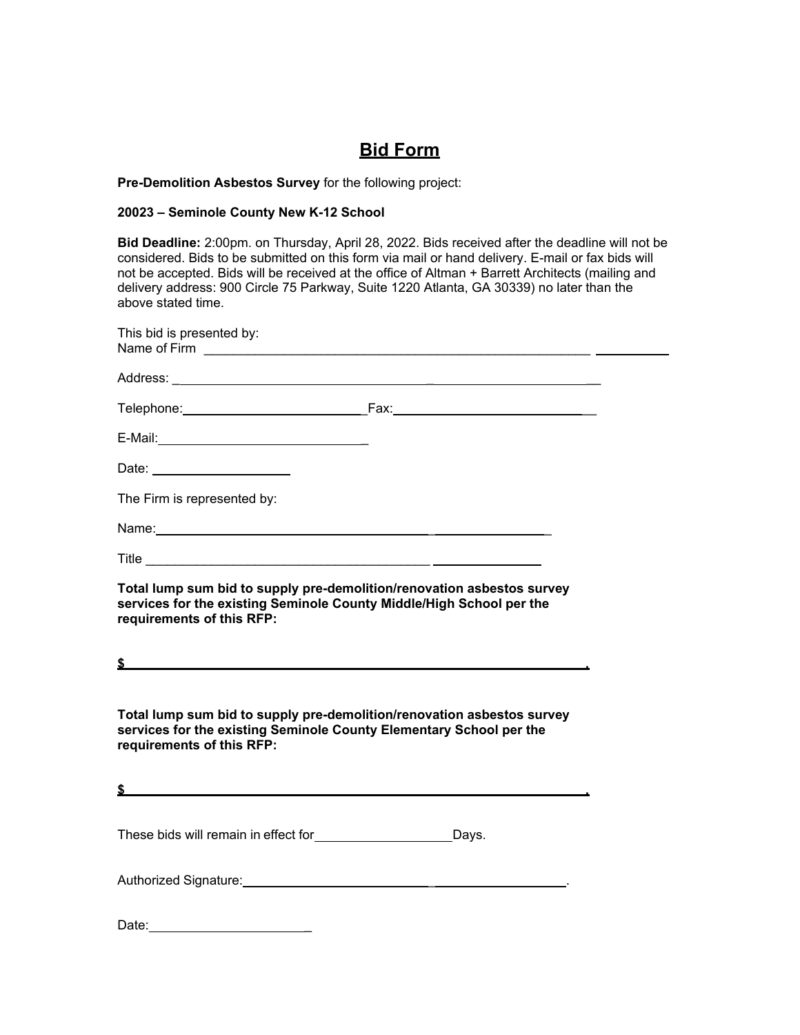# **Bid Form**

#### **Pre-Demolition Asbestos Survey** for the following project:

#### **20023 – Seminole County New K-12 School**

**Bid Deadline:** 2:00pm. on Thursday, April 28, 2022. Bids received after the deadline will not be considered. Bids to be submitted on this form via mail or hand delivery. E-mail or fax bids will not be accepted. Bids will be received at the office of Altman + Barrett Architects (mailing and delivery address: 900 Circle 75 Parkway, Suite 1220 Atlanta, GA 30339) no later than the above stated time.

| This bid is presented by:                                                                                                                                                                                                      |  |
|--------------------------------------------------------------------------------------------------------------------------------------------------------------------------------------------------------------------------------|--|
|                                                                                                                                                                                                                                |  |
|                                                                                                                                                                                                                                |  |
|                                                                                                                                                                                                                                |  |
| Date: the contract of the contract of the contract of the contract of the contract of the contract of the contract of the contract of the contract of the contract of the contract of the contract of the contract of the cont |  |
| The Firm is represented by:                                                                                                                                                                                                    |  |
|                                                                                                                                                                                                                                |  |
|                                                                                                                                                                                                                                |  |
| Total lump sum bid to supply pre-demolition/renovation asbestos survey<br>services for the existing Seminole County Middle/High School per the<br>requirements of this RFP:                                                    |  |
| <u> 1989 - Johann Harry Harry Harry Harry Harry Harry Harry Harry Harry Harry Harry Harry Harry Harry Harry Harry</u>                                                                                                          |  |
|                                                                                                                                                                                                                                |  |
| Total lump sum bid to supply pre-demolition/renovation asbestos survey<br>services for the existing Seminole County Elementary School per the<br>requirements of this RFP:                                                     |  |
| \$                                                                                                                                                                                                                             |  |
| These bids will remain in effect for________________________Days.                                                                                                                                                              |  |
| Authorized Signature: Manual Communication of System and Authorized Signature:                                                                                                                                                 |  |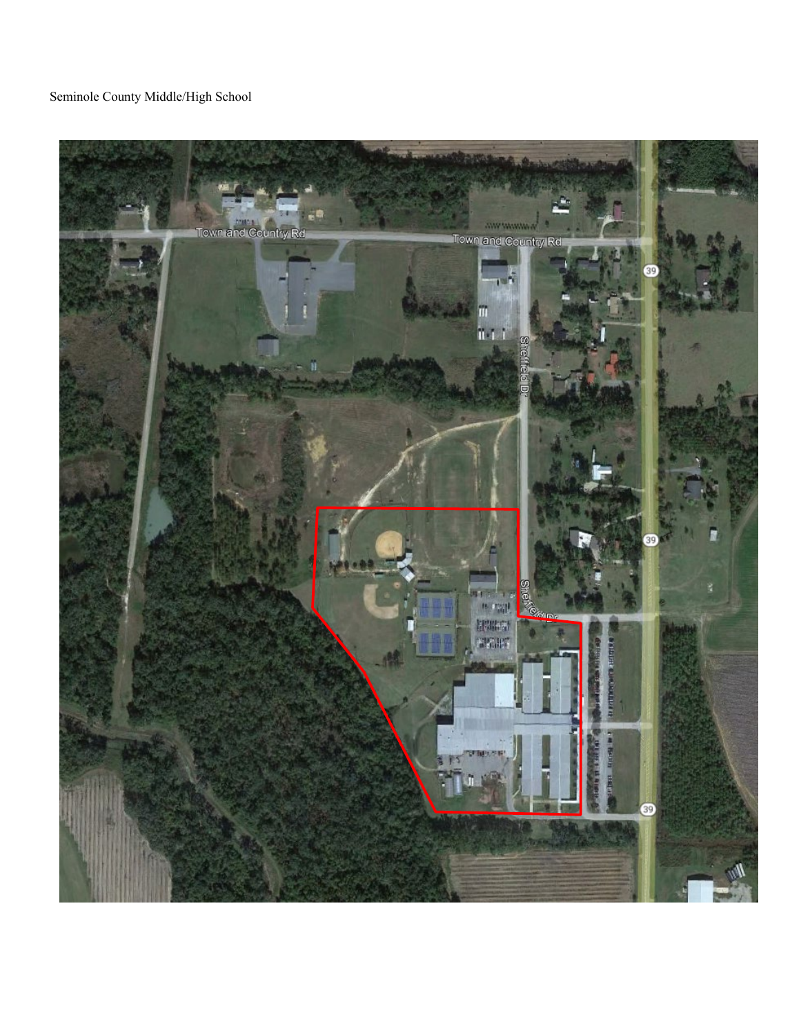## Seminole County Middle/High School

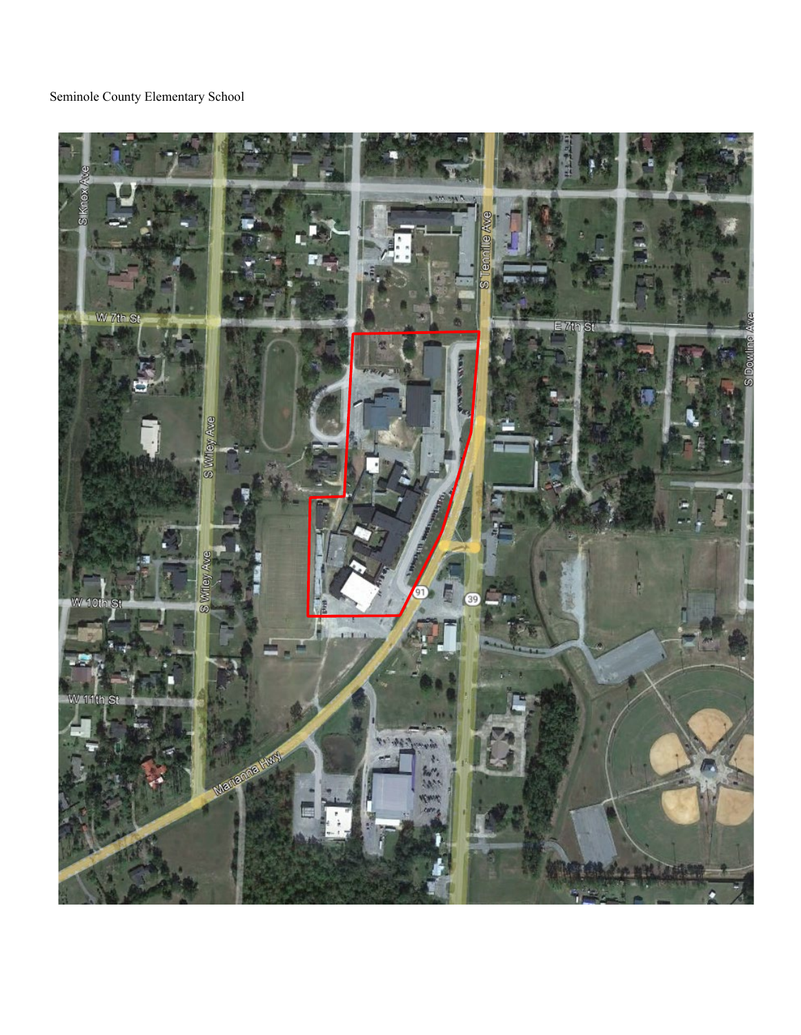